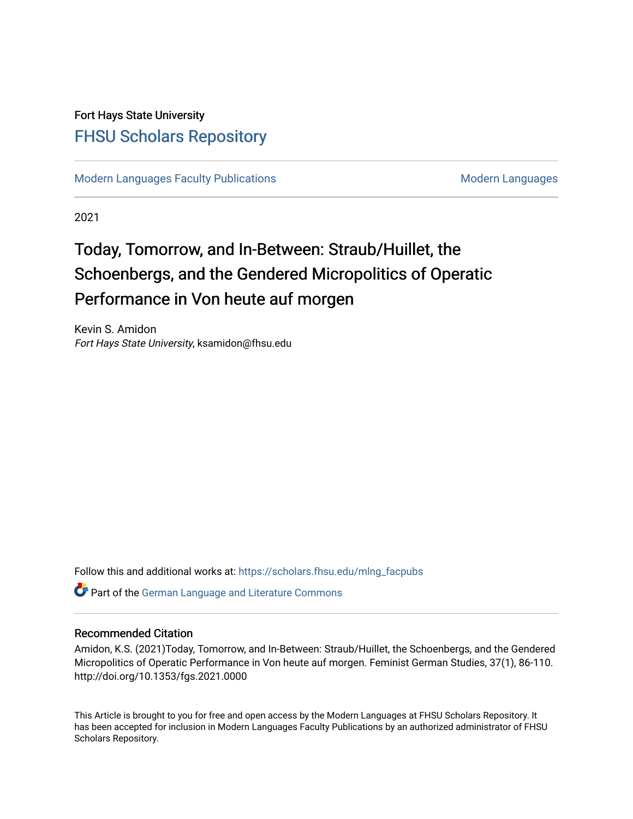### Fort Hays State University [FHSU Scholars Repository](https://scholars.fhsu.edu/)

[Modern Languages Faculty Publications](https://scholars.fhsu.edu/mlng_facpubs) [Modern Languages](https://scholars.fhsu.edu/mlng) Modern Languages

2021

# Today, Tomorrow, and In-Between: Straub/Huillet, the Schoenbergs, and the Gendered Micropolitics of Operatic Performance in Von heute auf morgen

Kevin S. Amidon Fort Hays State University, ksamidon@fhsu.edu

Follow this and additional works at: [https://scholars.fhsu.edu/mlng\\_facpubs](https://scholars.fhsu.edu/mlng_facpubs?utm_source=scholars.fhsu.edu%2Fmlng_facpubs%2F1&utm_medium=PDF&utm_campaign=PDFCoverPages) 

**C** Part of the [German Language and Literature Commons](http://network.bepress.com/hgg/discipline/467?utm_source=scholars.fhsu.edu%2Fmlng_facpubs%2F1&utm_medium=PDF&utm_campaign=PDFCoverPages)

### Recommended Citation

Amidon, K.S. (2021)Today, Tomorrow, and In-Between: Straub/Huillet, the Schoenbergs, and the Gendered Micropolitics of Operatic Performance in Von heute auf morgen. Feminist German Studies, 37(1), 86-110. http://doi.org/10.1353/fgs.2021.0000

This Article is brought to you for free and open access by the Modern Languages at FHSU Scholars Repository. It has been accepted for inclusion in Modern Languages Faculty Publications by an authorized administrator of FHSU Scholars Repository.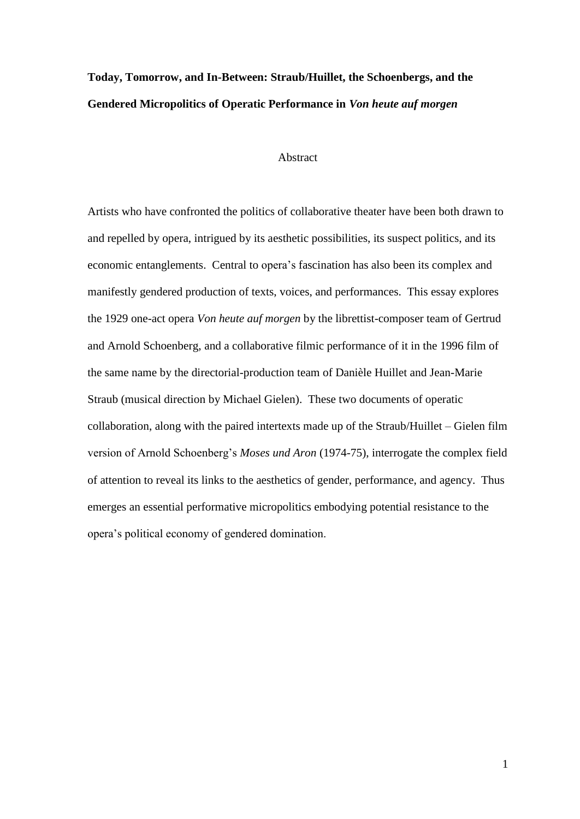## **Today, Tomorrow, and In-Between: Straub/Huillet, the Schoenbergs, and the Gendered Micropolitics of Operatic Performance in** *Von heute auf morgen*

### Abstract

Artists who have confronted the politics of collaborative theater have been both drawn to and repelled by opera, intrigued by its aesthetic possibilities, its suspect politics, and its economic entanglements. Central to opera's fascination has also been its complex and manifestly gendered production of texts, voices, and performances. This essay explores the 1929 one-act opera *Von heute auf morgen* by the librettist-composer team of Gertrud and Arnold Schoenberg, and a collaborative filmic performance of it in the 1996 film of the same name by the directorial-production team of Danièle Huillet and Jean-Marie Straub (musical direction by Michael Gielen). These two documents of operatic collaboration, along with the paired intertexts made up of the Straub/Huillet – Gielen film version of Arnold Schoenberg's *Moses und Aron* (1974-75), interrogate the complex field of attention to reveal its links to the aesthetics of gender, performance, and agency. Thus emerges an essential performative micropolitics embodying potential resistance to the opera's political economy of gendered domination.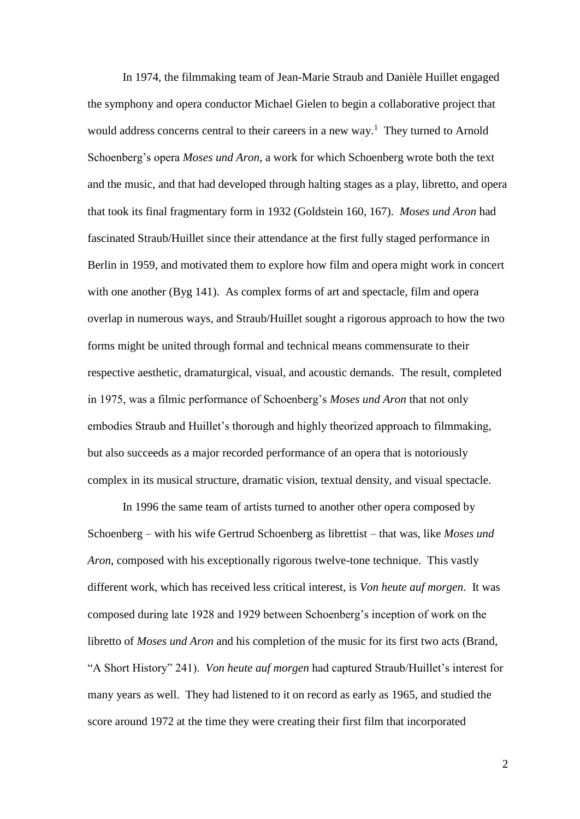In 1974, the filmmaking team of Jean-Marie Straub and Danièle Huillet engaged the symphony and opera conductor Michael Gielen to begin a collaborative project that would address concerns central to their careers in a new way.<sup>1</sup> They turned to Arnold Schoenberg's opera *Moses und Aron*, a work for which Schoenberg wrote both the text and the music, and that had developed through halting stages as a play, libretto, and opera that took its final fragmentary form in 1932 (Goldstein 160, 167). *Moses und Aron* had fascinated Straub/Huillet since their attendance at the first fully staged performance in Berlin in 1959, and motivated them to explore how film and opera might work in concert with one another (Byg 141). As complex forms of art and spectacle, film and opera overlap in numerous ways, and Straub/Huillet sought a rigorous approach to how the two forms might be united through formal and technical means commensurate to their respective aesthetic, dramaturgical, visual, and acoustic demands. The result, completed in 1975, was a filmic performance of Schoenberg's *Moses und Aron* that not only embodies Straub and Huillet's thorough and highly theorized approach to filmmaking, but also succeeds as a major recorded performance of an opera that is notoriously complex in its musical structure, dramatic vision, textual density, and visual spectacle.

In 1996 the same team of artists turned to another other opera composed by Schoenberg – with his wife Gertrud Schoenberg as librettist – that was, like *Moses und Aron*, composed with his exceptionally rigorous twelve-tone technique. This vastly different work, which has received less critical interest, is *Von heute auf morgen*. It was composed during late 1928 and 1929 between Schoenberg's inception of work on the libretto of *Moses und Aron* and his completion of the music for its first two acts (Brand, "A Short History" 241). *Von heute auf morgen* had captured Straub/Huillet's interest for many years as well. They had listened to it on record as early as 1965, and studied the score around 1972 at the time they were creating their first film that incorporated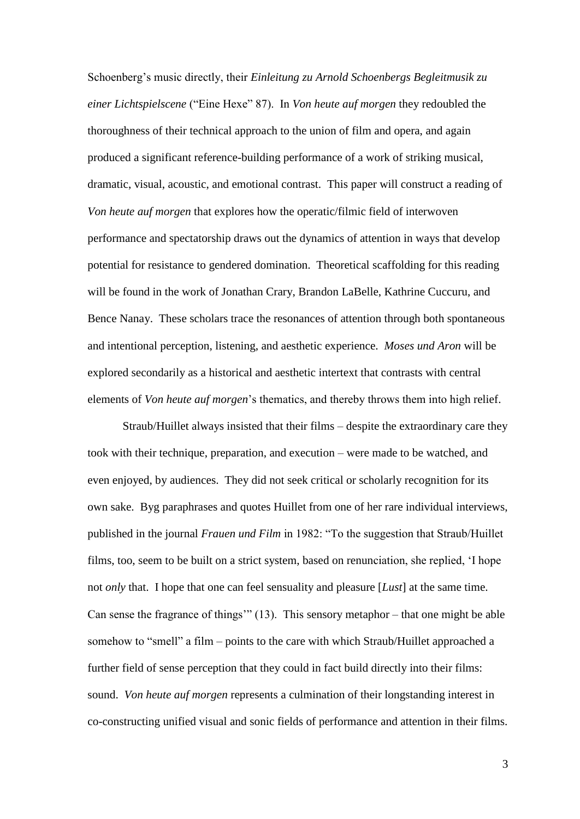Schoenberg's music directly, their *Einleitung zu Arnold Schoenbergs Begleitmusik zu einer Lichtspielscene* ("Eine Hexe" 87). In *Von heute auf morgen* they redoubled the thoroughness of their technical approach to the union of film and opera, and again produced a significant reference-building performance of a work of striking musical, dramatic, visual, acoustic, and emotional contrast. This paper will construct a reading of *Von heute auf morgen* that explores how the operatic/filmic field of interwoven performance and spectatorship draws out the dynamics of attention in ways that develop potential for resistance to gendered domination. Theoretical scaffolding for this reading will be found in the work of Jonathan Crary, Brandon LaBelle, Kathrine Cuccuru, and Bence Nanay. These scholars trace the resonances of attention through both spontaneous and intentional perception, listening, and aesthetic experience. *Moses und Aron* will be explored secondarily as a historical and aesthetic intertext that contrasts with central elements of *Von heute auf morgen*'s thematics, and thereby throws them into high relief.

Straub/Huillet always insisted that their films – despite the extraordinary care they took with their technique, preparation, and execution – were made to be watched, and even enjoyed, by audiences. They did not seek critical or scholarly recognition for its own sake. Byg paraphrases and quotes Huillet from one of her rare individual interviews, published in the journal *Frauen und Film* in 1982: "To the suggestion that Straub/Huillet films, too, seem to be built on a strict system, based on renunciation, she replied, 'I hope not *only* that. I hope that one can feel sensuality and pleasure [*Lust*] at the same time. Can sense the fragrance of things'" (13). This sensory metaphor – that one might be able somehow to "smell" a film – points to the care with which Straub/Huillet approached a further field of sense perception that they could in fact build directly into their films: sound. *Von heute auf morgen* represents a culmination of their longstanding interest in co-constructing unified visual and sonic fields of performance and attention in their films.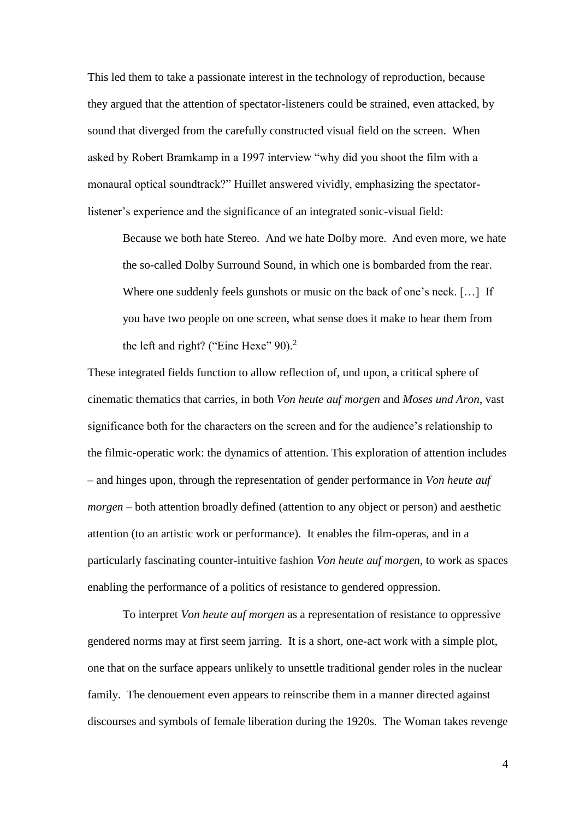This led them to take a passionate interest in the technology of reproduction, because they argued that the attention of spectator-listeners could be strained, even attacked, by sound that diverged from the carefully constructed visual field on the screen. When asked by Robert Bramkamp in a 1997 interview "why did you shoot the film with a monaural optical soundtrack?" Huillet answered vividly, emphasizing the spectatorlistener's experience and the significance of an integrated sonic-visual field:

Because we both hate Stereo. And we hate Dolby more. And even more, we hate the so-called Dolby Surround Sound, in which one is bombarded from the rear. Where one suddenly feels gunshots or music on the back of one's neck. [...] If you have two people on one screen, what sense does it make to hear them from the left and right? ("Eine Hexe"  $90$ ).<sup>2</sup>

These integrated fields function to allow reflection of, und upon, a critical sphere of cinematic thematics that carries, in both *Von heute auf morgen* and *Moses und Aron*, vast significance both for the characters on the screen and for the audience's relationship to the filmic-operatic work: the dynamics of attention. This exploration of attention includes – and hinges upon, through the representation of gender performance in *Von heute auf morgen* – both attention broadly defined (attention to any object or person) and aesthetic attention (to an artistic work or performance). It enables the film-operas, and in a particularly fascinating counter-intuitive fashion *Von heute auf morgen*, to work as spaces enabling the performance of a politics of resistance to gendered oppression.

To interpret *Von heute auf morgen* as a representation of resistance to oppressive gendered norms may at first seem jarring. It is a short, one-act work with a simple plot, one that on the surface appears unlikely to unsettle traditional gender roles in the nuclear family. The denouement even appears to reinscribe them in a manner directed against discourses and symbols of female liberation during the 1920s. The Woman takes revenge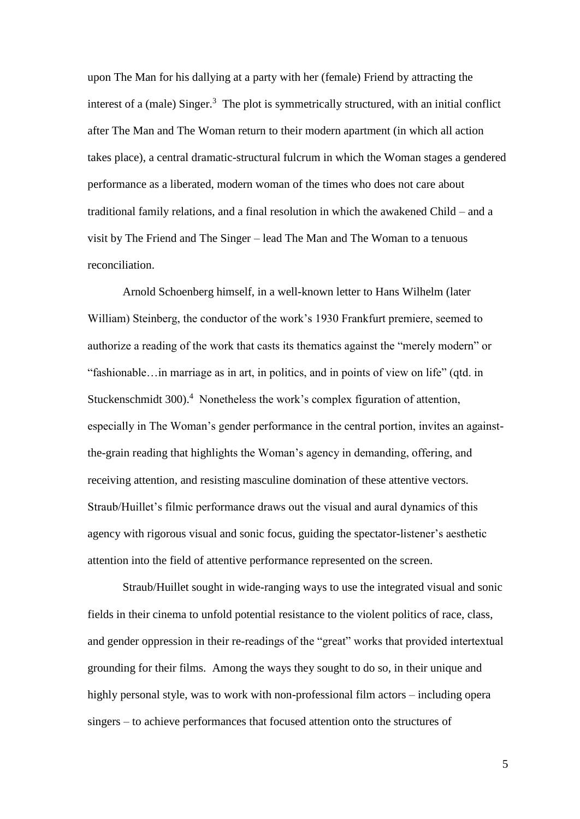upon The Man for his dallying at a party with her (female) Friend by attracting the interest of a (male) Singer.<sup>3</sup> The plot is symmetrically structured, with an initial conflict after The Man and The Woman return to their modern apartment (in which all action takes place), a central dramatic-structural fulcrum in which the Woman stages a gendered performance as a liberated, modern woman of the times who does not care about traditional family relations, and a final resolution in which the awakened Child – and a visit by The Friend and The Singer – lead The Man and The Woman to a tenuous reconciliation.

Arnold Schoenberg himself, in a well-known letter to Hans Wilhelm (later William) Steinberg, the conductor of the work's 1930 Frankfurt premiere, seemed to authorize a reading of the work that casts its thematics against the "merely modern" or "fashionable…in marriage as in art, in politics, and in points of view on life" (qtd. in Stuckenschmidt 300).<sup>4</sup> Nonetheless the work's complex figuration of attention, especially in The Woman's gender performance in the central portion, invites an againstthe-grain reading that highlights the Woman's agency in demanding, offering, and receiving attention, and resisting masculine domination of these attentive vectors. Straub/Huillet's filmic performance draws out the visual and aural dynamics of this agency with rigorous visual and sonic focus, guiding the spectator-listener's aesthetic attention into the field of attentive performance represented on the screen.

Straub/Huillet sought in wide-ranging ways to use the integrated visual and sonic fields in their cinema to unfold potential resistance to the violent politics of race, class, and gender oppression in their re-readings of the "great" works that provided intertextual grounding for their films. Among the ways they sought to do so, in their unique and highly personal style, was to work with non-professional film actors – including opera singers – to achieve performances that focused attention onto the structures of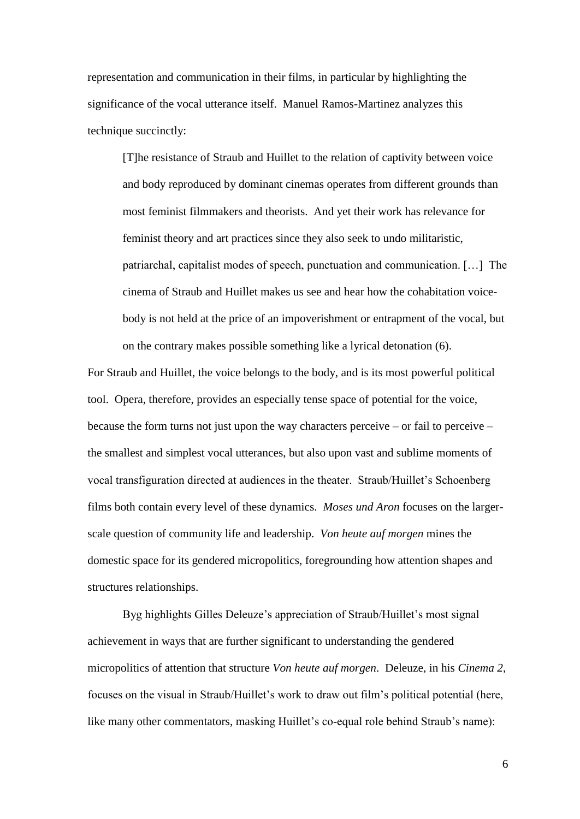representation and communication in their films, in particular by highlighting the significance of the vocal utterance itself. Manuel Ramos-Martinez analyzes this technique succinctly:

[T]he resistance of Straub and Huillet to the relation of captivity between voice and body reproduced by dominant cinemas operates from different grounds than most feminist filmmakers and theorists. And yet their work has relevance for feminist theory and art practices since they also seek to undo militaristic, patriarchal, capitalist modes of speech, punctuation and communication. […] The cinema of Straub and Huillet makes us see and hear how the cohabitation voicebody is not held at the price of an impoverishment or entrapment of the vocal, but on the contrary makes possible something like a lyrical detonation (6).

For Straub and Huillet, the voice belongs to the body, and is its most powerful political tool. Opera, therefore, provides an especially tense space of potential for the voice, because the form turns not just upon the way characters perceive – or fail to perceive – the smallest and simplest vocal utterances, but also upon vast and sublime moments of vocal transfiguration directed at audiences in the theater. Straub/Huillet's Schoenberg films both contain every level of these dynamics. *Moses und Aron* focuses on the largerscale question of community life and leadership. *Von heute auf morgen* mines the domestic space for its gendered micropolitics, foregrounding how attention shapes and structures relationships.

Byg highlights Gilles Deleuze's appreciation of Straub/Huillet's most signal achievement in ways that are further significant to understanding the gendered micropolitics of attention that structure *Von heute auf morgen*. Deleuze, in his *Cinema 2*, focuses on the visual in Straub/Huillet's work to draw out film's political potential (here, like many other commentators, masking Huillet's co-equal role behind Straub's name):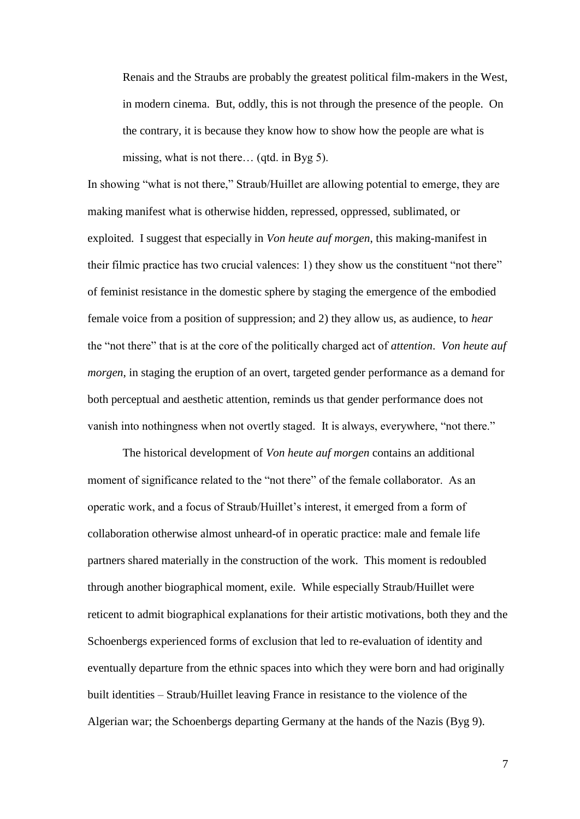Renais and the Straubs are probably the greatest political film-makers in the West, in modern cinema. But, oddly, this is not through the presence of the people. On the contrary, it is because they know how to show how the people are what is missing, what is not there… (qtd. in Byg 5).

In showing "what is not there," Straub/Huillet are allowing potential to emerge, they are making manifest what is otherwise hidden, repressed, oppressed, sublimated, or exploited. I suggest that especially in *Von heute auf morgen*, this making-manifest in their filmic practice has two crucial valences: 1) they show us the constituent "not there" of feminist resistance in the domestic sphere by staging the emergence of the embodied female voice from a position of suppression; and 2) they allow us, as audience, to *hear* the "not there" that is at the core of the politically charged act of *attention*. *Von heute auf morgen*, in staging the eruption of an overt, targeted gender performance as a demand for both perceptual and aesthetic attention, reminds us that gender performance does not vanish into nothingness when not overtly staged. It is always, everywhere, "not there."

The historical development of *Von heute auf morgen* contains an additional moment of significance related to the "not there" of the female collaborator. As an operatic work, and a focus of Straub/Huillet's interest, it emerged from a form of collaboration otherwise almost unheard-of in operatic practice: male and female life partners shared materially in the construction of the work. This moment is redoubled through another biographical moment, exile. While especially Straub/Huillet were reticent to admit biographical explanations for their artistic motivations, both they and the Schoenbergs experienced forms of exclusion that led to re-evaluation of identity and eventually departure from the ethnic spaces into which they were born and had originally built identities – Straub/Huillet leaving France in resistance to the violence of the Algerian war; the Schoenbergs departing Germany at the hands of the Nazis (Byg 9).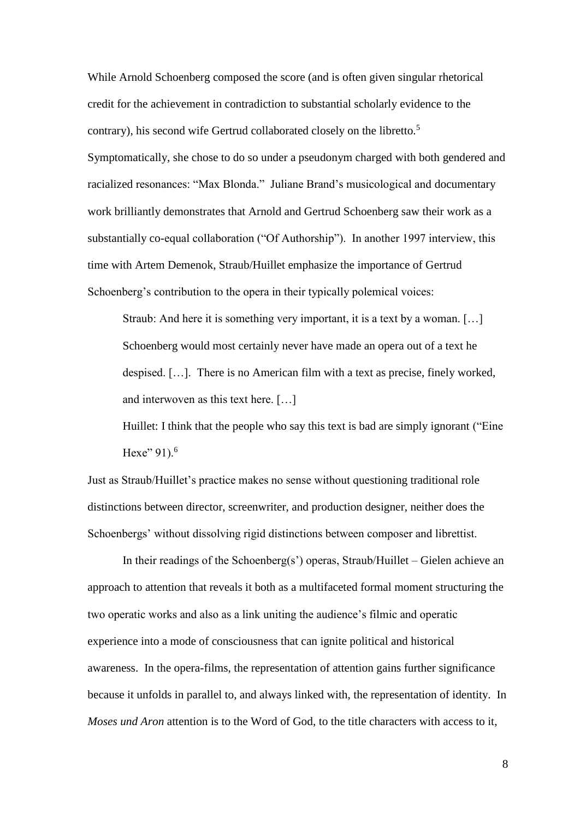While Arnold Schoenberg composed the score (and is often given singular rhetorical credit for the achievement in contradiction to substantial scholarly evidence to the contrary), his second wife Gertrud collaborated closely on the libretto.<sup>5</sup> Symptomatically, she chose to do so under a pseudonym charged with both gendered and racialized resonances: "Max Blonda." Juliane Brand's musicological and documentary work brilliantly demonstrates that Arnold and Gertrud Schoenberg saw their work as a substantially co-equal collaboration ("Of Authorship"). In another 1997 interview, this time with Artem Demenok, Straub/Huillet emphasize the importance of Gertrud Schoenberg's contribution to the opera in their typically polemical voices:

Straub: And here it is something very important, it is a text by a woman. […] Schoenberg would most certainly never have made an opera out of a text he despised. […]. There is no American film with a text as precise, finely worked, and interwoven as this text here. […]

Huillet: I think that the people who say this text is bad are simply ignorant ("Eine Hexe"  $91$ ).<sup>6</sup>

Just as Straub/Huillet's practice makes no sense without questioning traditional role distinctions between director, screenwriter, and production designer, neither does the Schoenbergs' without dissolving rigid distinctions between composer and librettist.

In their readings of the Schoenberg(s') operas, Straub/Huillet – Gielen achieve an approach to attention that reveals it both as a multifaceted formal moment structuring the two operatic works and also as a link uniting the audience's filmic and operatic experience into a mode of consciousness that can ignite political and historical awareness. In the opera-films, the representation of attention gains further significance because it unfolds in parallel to, and always linked with, the representation of identity. In *Moses und Aron* attention is to the Word of God, to the title characters with access to it,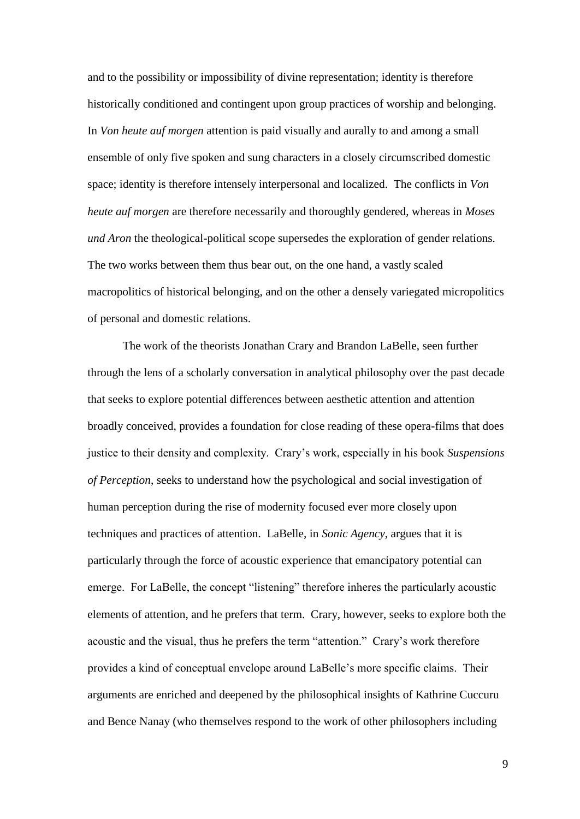and to the possibility or impossibility of divine representation; identity is therefore historically conditioned and contingent upon group practices of worship and belonging. In *Von heute auf morgen* attention is paid visually and aurally to and among a small ensemble of only five spoken and sung characters in a closely circumscribed domestic space; identity is therefore intensely interpersonal and localized. The conflicts in *Von heute auf morgen* are therefore necessarily and thoroughly gendered, whereas in *Moses und Aron* the theological-political scope supersedes the exploration of gender relations. The two works between them thus bear out, on the one hand, a vastly scaled macropolitics of historical belonging, and on the other a densely variegated micropolitics of personal and domestic relations.

The work of the theorists Jonathan Crary and Brandon LaBelle, seen further through the lens of a scholarly conversation in analytical philosophy over the past decade that seeks to explore potential differences between aesthetic attention and attention broadly conceived, provides a foundation for close reading of these opera-films that does justice to their density and complexity. Crary's work, especially in his book *Suspensions of Perception*, seeks to understand how the psychological and social investigation of human perception during the rise of modernity focused ever more closely upon techniques and practices of attention. LaBelle, in *Sonic Agency*, argues that it is particularly through the force of acoustic experience that emancipatory potential can emerge. For LaBelle, the concept "listening" therefore inheres the particularly acoustic elements of attention, and he prefers that term. Crary, however, seeks to explore both the acoustic and the visual, thus he prefers the term "attention." Crary's work therefore provides a kind of conceptual envelope around LaBelle's more specific claims. Their arguments are enriched and deepened by the philosophical insights of Kathrine Cuccuru and Bence Nanay (who themselves respond to the work of other philosophers including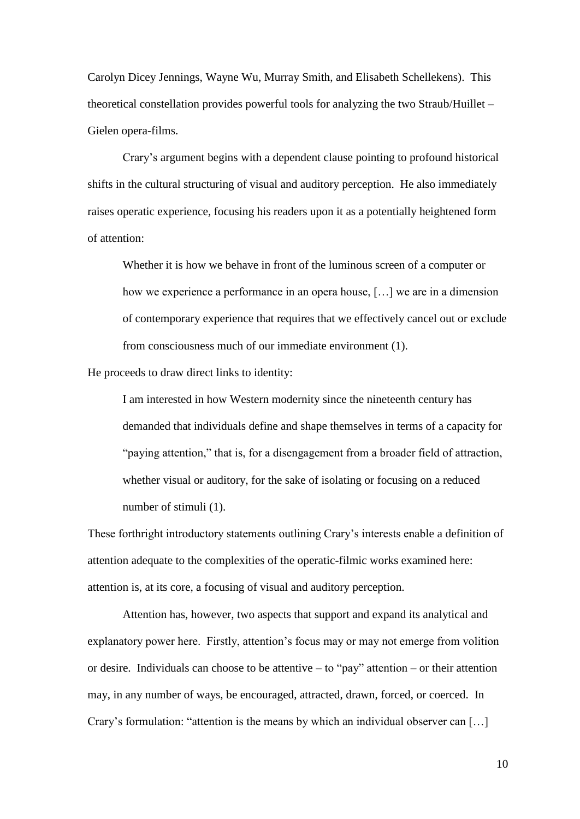Carolyn Dicey Jennings, Wayne Wu, Murray Smith, and Elisabeth Schellekens). This theoretical constellation provides powerful tools for analyzing the two Straub/Huillet – Gielen opera-films.

Crary's argument begins with a dependent clause pointing to profound historical shifts in the cultural structuring of visual and auditory perception. He also immediately raises operatic experience, focusing his readers upon it as a potentially heightened form of attention:

Whether it is how we behave in front of the luminous screen of a computer or how we experience a performance in an opera house, [...] we are in a dimension of contemporary experience that requires that we effectively cancel out or exclude from consciousness much of our immediate environment (1).

He proceeds to draw direct links to identity:

I am interested in how Western modernity since the nineteenth century has demanded that individuals define and shape themselves in terms of a capacity for "paying attention," that is, for a disengagement from a broader field of attraction, whether visual or auditory, for the sake of isolating or focusing on a reduced number of stimuli (1).

These forthright introductory statements outlining Crary's interests enable a definition of attention adequate to the complexities of the operatic-filmic works examined here: attention is, at its core, a focusing of visual and auditory perception.

Attention has, however, two aspects that support and expand its analytical and explanatory power here. Firstly, attention's focus may or may not emerge from volition or desire. Individuals can choose to be attentive – to "pay" attention – or their attention may, in any number of ways, be encouraged, attracted, drawn, forced, or coerced. In Crary's formulation: "attention is the means by which an individual observer can […]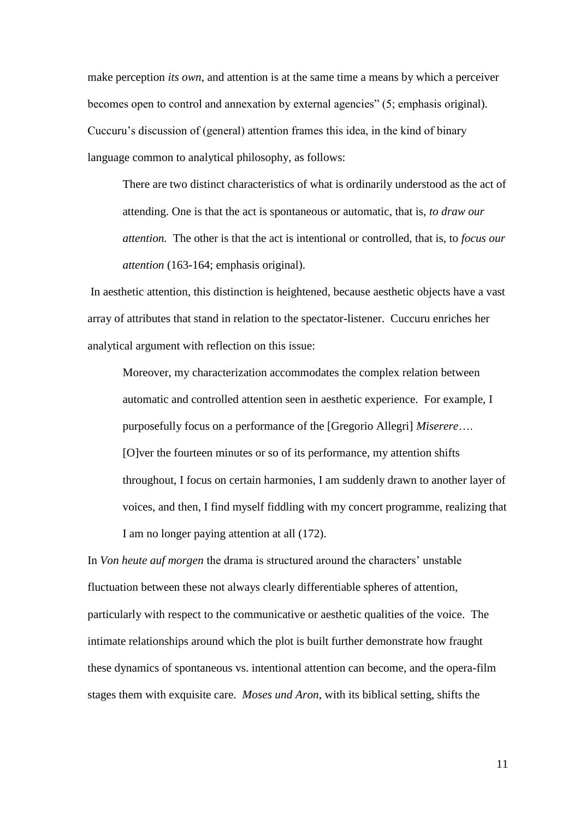make perception *its own*, and attention is at the same time a means by which a perceiver becomes open to control and annexation by external agencies" (5; emphasis original). Cuccuru's discussion of (general) attention frames this idea, in the kind of binary language common to analytical philosophy, as follows:

There are two distinct characteristics of what is ordinarily understood as the act of attending. One is that the act is spontaneous or automatic, that is, *to draw our attention.* The other is that the act is intentional or controlled, that is, to *focus our attention* (163-164; emphasis original).

In aesthetic attention, this distinction is heightened, because aesthetic objects have a vast array of attributes that stand in relation to the spectator-listener. Cuccuru enriches her analytical argument with reflection on this issue:

Moreover, my characterization accommodates the complex relation between automatic and controlled attention seen in aesthetic experience. For example, I purposefully focus on a performance of the [Gregorio Allegri] *Miserere*…. [O]ver the fourteen minutes or so of its performance, my attention shifts throughout, I focus on certain harmonies, I am suddenly drawn to another layer of voices, and then, I find myself fiddling with my concert programme, realizing that I am no longer paying attention at all (172).

In *Von heute auf morgen* the drama is structured around the characters' unstable fluctuation between these not always clearly differentiable spheres of attention, particularly with respect to the communicative or aesthetic qualities of the voice. The intimate relationships around which the plot is built further demonstrate how fraught these dynamics of spontaneous vs. intentional attention can become, and the opera-film stages them with exquisite care. *Moses und Aron*, with its biblical setting, shifts the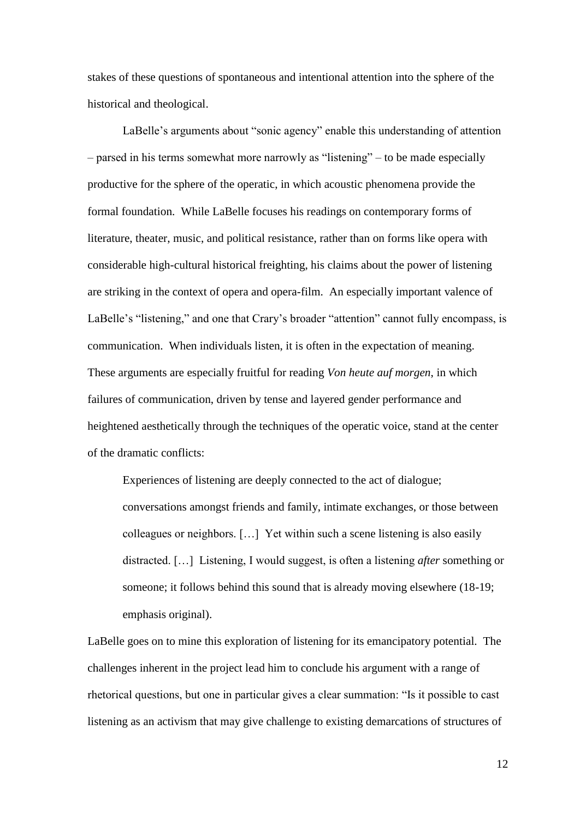stakes of these questions of spontaneous and intentional attention into the sphere of the historical and theological.

LaBelle's arguments about "sonic agency" enable this understanding of attention – parsed in his terms somewhat more narrowly as "listening" – to be made especially productive for the sphere of the operatic, in which acoustic phenomena provide the formal foundation. While LaBelle focuses his readings on contemporary forms of literature, theater, music, and political resistance, rather than on forms like opera with considerable high-cultural historical freighting, his claims about the power of listening are striking in the context of opera and opera-film. An especially important valence of LaBelle's "listening," and one that Crary's broader "attention" cannot fully encompass, is communication. When individuals listen, it is often in the expectation of meaning. These arguments are especially fruitful for reading *Von heute auf morgen*, in which failures of communication, driven by tense and layered gender performance and heightened aesthetically through the techniques of the operatic voice, stand at the center of the dramatic conflicts:

Experiences of listening are deeply connected to the act of dialogue; conversations amongst friends and family, intimate exchanges, or those between colleagues or neighbors. […] Yet within such a scene listening is also easily distracted. […] Listening, I would suggest, is often a listening *after* something or someone; it follows behind this sound that is already moving elsewhere (18-19; emphasis original).

LaBelle goes on to mine this exploration of listening for its emancipatory potential. The challenges inherent in the project lead him to conclude his argument with a range of rhetorical questions, but one in particular gives a clear summation: "Is it possible to cast listening as an activism that may give challenge to existing demarcations of structures of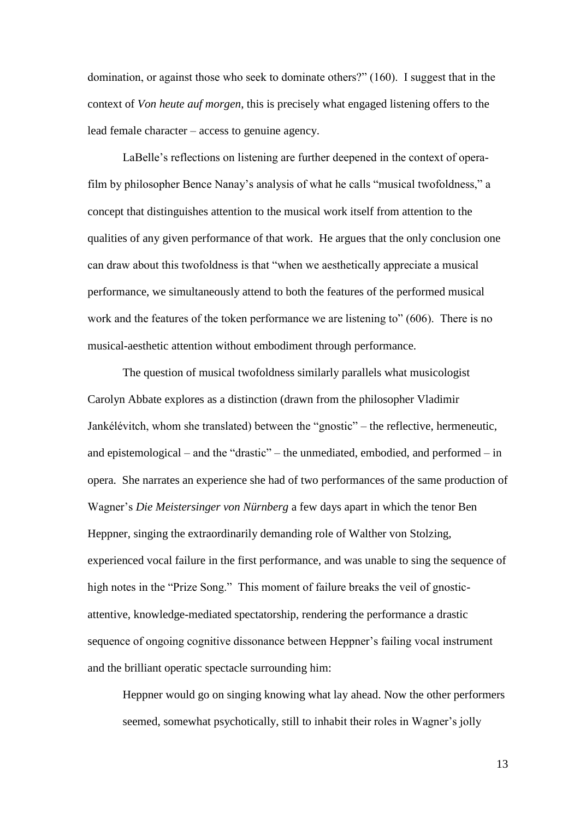domination, or against those who seek to dominate others?" (160). I suggest that in the context of *Von heute auf morgen*, this is precisely what engaged listening offers to the lead female character – access to genuine agency.

LaBelle's reflections on listening are further deepened in the context of operafilm by philosopher Bence Nanay's analysis of what he calls "musical twofoldness," a concept that distinguishes attention to the musical work itself from attention to the qualities of any given performance of that work. He argues that the only conclusion one can draw about this twofoldness is that "when we aesthetically appreciate a musical performance, we simultaneously attend to both the features of the performed musical work and the features of the token performance we are listening to" (606). There is no musical-aesthetic attention without embodiment through performance.

The question of musical twofoldness similarly parallels what musicologist Carolyn Abbate explores as a distinction (drawn from the philosopher Vladimir Jankélévitch, whom she translated) between the "gnostic" – the reflective, hermeneutic, and epistemological – and the "drastic" – the unmediated, embodied, and performed – in opera. She narrates an experience she had of two performances of the same production of Wagner's *Die Meistersinger von Nürnberg* a few days apart in which the tenor Ben Heppner, singing the extraordinarily demanding role of Walther von Stolzing, experienced vocal failure in the first performance, and was unable to sing the sequence of high notes in the "Prize Song." This moment of failure breaks the veil of gnosticattentive, knowledge-mediated spectatorship, rendering the performance a drastic sequence of ongoing cognitive dissonance between Heppner's failing vocal instrument and the brilliant operatic spectacle surrounding him:

Heppner would go on singing knowing what lay ahead. Now the other performers seemed, somewhat psychotically, still to inhabit their roles in Wagner's jolly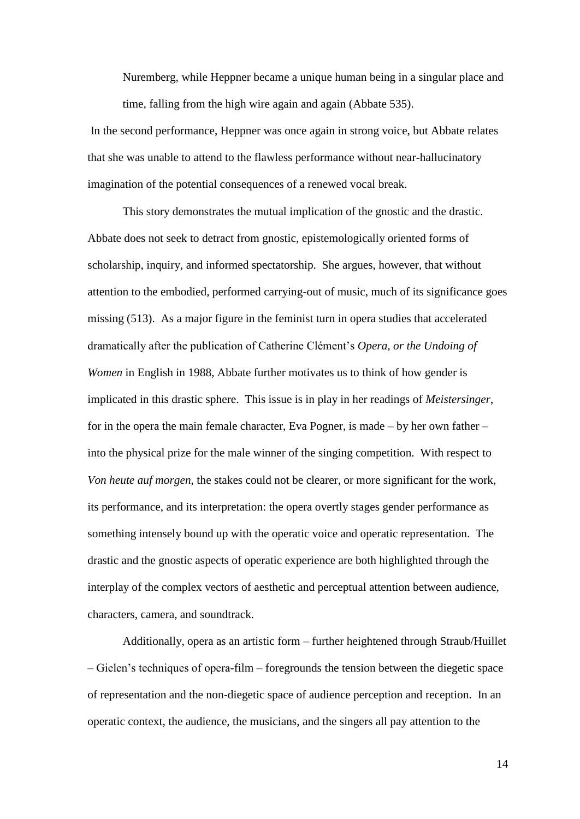Nuremberg, while Heppner became a unique human being in a singular place and time, falling from the high wire again and again (Abbate 535).

In the second performance, Heppner was once again in strong voice, but Abbate relates that she was unable to attend to the flawless performance without near-hallucinatory imagination of the potential consequences of a renewed vocal break.

This story demonstrates the mutual implication of the gnostic and the drastic. Abbate does not seek to detract from gnostic, epistemologically oriented forms of scholarship, inquiry, and informed spectatorship. She argues, however, that without attention to the embodied, performed carrying-out of music, much of its significance goes missing (513). As a major figure in the feminist turn in opera studies that accelerated dramatically after the publication of Catherine Clément's *Opera, or the Undoing of Women* in English in 1988, Abbate further motivates us to think of how gender is implicated in this drastic sphere. This issue is in play in her readings of *Meistersinger*, for in the opera the main female character, Eva Pogner, is made – by her own father – into the physical prize for the male winner of the singing competition. With respect to *Von heute auf morgen*, the stakes could not be clearer, or more significant for the work, its performance, and its interpretation: the opera overtly stages gender performance as something intensely bound up with the operatic voice and operatic representation. The drastic and the gnostic aspects of operatic experience are both highlighted through the interplay of the complex vectors of aesthetic and perceptual attention between audience, characters, camera, and soundtrack.

Additionally, opera as an artistic form – further heightened through Straub/Huillet – Gielen's techniques of opera-film – foregrounds the tension between the diegetic space of representation and the non-diegetic space of audience perception and reception. In an operatic context, the audience, the musicians, and the singers all pay attention to the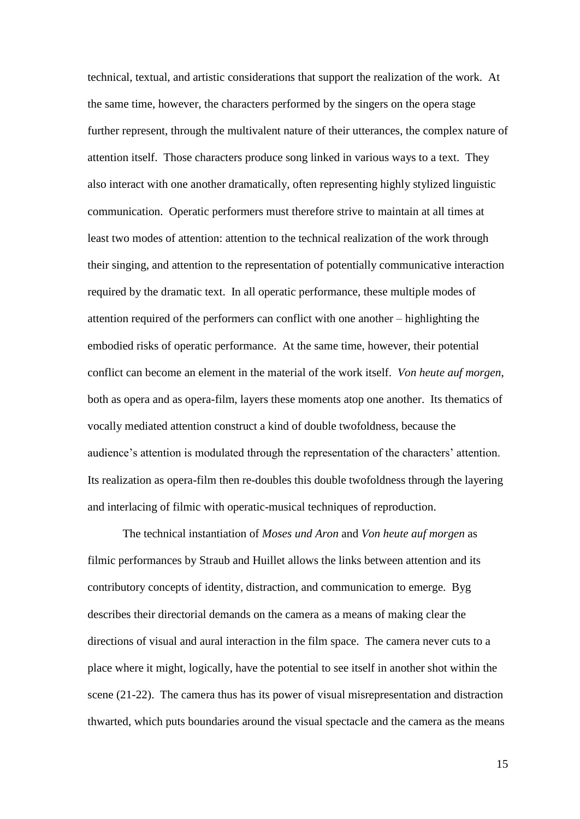technical, textual, and artistic considerations that support the realization of the work. At the same time, however, the characters performed by the singers on the opera stage further represent, through the multivalent nature of their utterances, the complex nature of attention itself. Those characters produce song linked in various ways to a text. They also interact with one another dramatically, often representing highly stylized linguistic communication. Operatic performers must therefore strive to maintain at all times at least two modes of attention: attention to the technical realization of the work through their singing, and attention to the representation of potentially communicative interaction required by the dramatic text. In all operatic performance, these multiple modes of attention required of the performers can conflict with one another – highlighting the embodied risks of operatic performance. At the same time, however, their potential conflict can become an element in the material of the work itself. *Von heute auf morgen*, both as opera and as opera-film, layers these moments atop one another. Its thematics of vocally mediated attention construct a kind of double twofoldness, because the audience's attention is modulated through the representation of the characters' attention. Its realization as opera-film then re-doubles this double twofoldness through the layering and interlacing of filmic with operatic-musical techniques of reproduction.

The technical instantiation of *Moses und Aron* and *Von heute auf morgen* as filmic performances by Straub and Huillet allows the links between attention and its contributory concepts of identity, distraction, and communication to emerge. Byg describes their directorial demands on the camera as a means of making clear the directions of visual and aural interaction in the film space. The camera never cuts to a place where it might, logically, have the potential to see itself in another shot within the scene (21-22). The camera thus has its power of visual misrepresentation and distraction thwarted, which puts boundaries around the visual spectacle and the camera as the means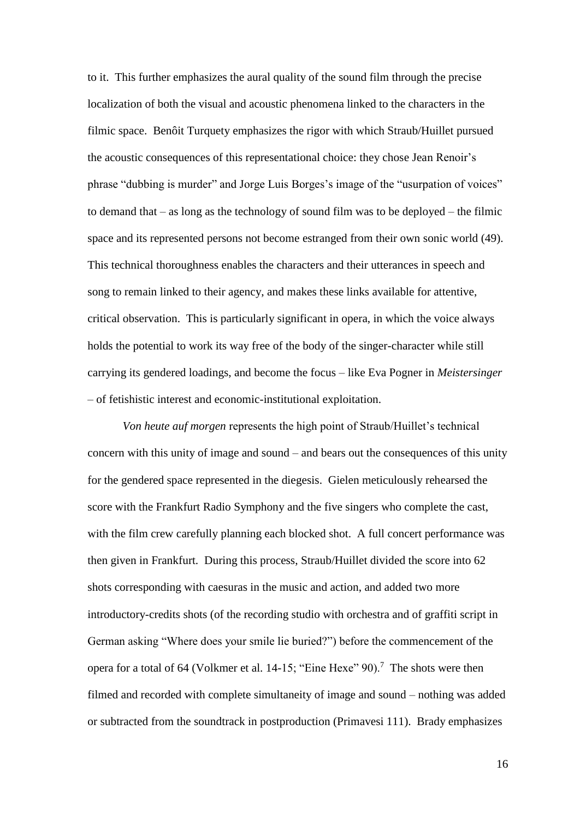to it. This further emphasizes the aural quality of the sound film through the precise localization of both the visual and acoustic phenomena linked to the characters in the filmic space. Benôit Turquety emphasizes the rigor with which Straub/Huillet pursued the acoustic consequences of this representational choice: they chose Jean Renoir's phrase "dubbing is murder" and Jorge Luis Borges's image of the "usurpation of voices" to demand that – as long as the technology of sound film was to be deployed – the filmic space and its represented persons not become estranged from their own sonic world (49). This technical thoroughness enables the characters and their utterances in speech and song to remain linked to their agency, and makes these links available for attentive, critical observation. This is particularly significant in opera, in which the voice always holds the potential to work its way free of the body of the singer-character while still carrying its gendered loadings, and become the focus – like Eva Pogner in *Meistersinger* – of fetishistic interest and economic-institutional exploitation.

*Von heute auf morgen* represents the high point of Straub/Huillet's technical concern with this unity of image and sound – and bears out the consequences of this unity for the gendered space represented in the diegesis. Gielen meticulously rehearsed the score with the Frankfurt Radio Symphony and the five singers who complete the cast, with the film crew carefully planning each blocked shot. A full concert performance was then given in Frankfurt. During this process, Straub/Huillet divided the score into 62 shots corresponding with caesuras in the music and action, and added two more introductory-credits shots (of the recording studio with orchestra and of graffiti script in German asking "Where does your smile lie buried?") before the commencement of the opera for a total of 64 (Volkmer et al. 14-15; "Eine Hexe"  $90$ ).<sup>7</sup> The shots were then filmed and recorded with complete simultaneity of image and sound – nothing was added or subtracted from the soundtrack in postproduction (Primavesi 111). Brady emphasizes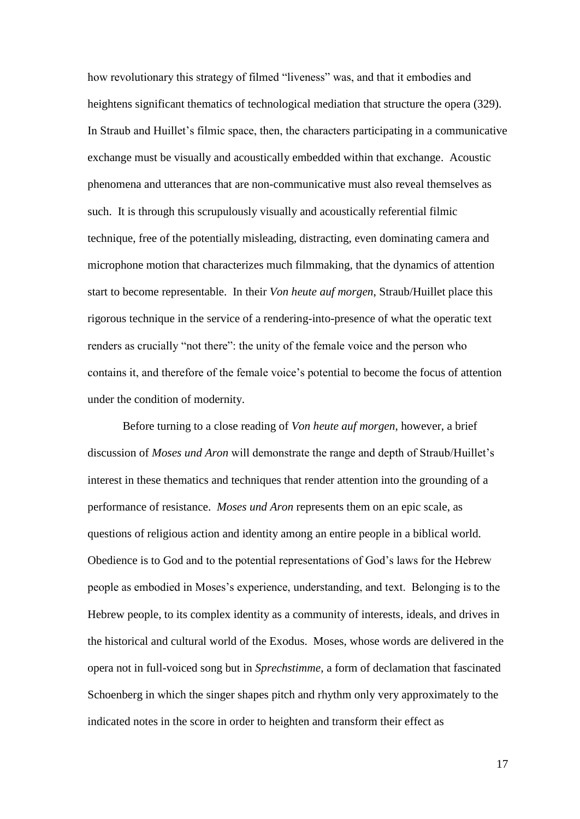how revolutionary this strategy of filmed "liveness" was, and that it embodies and heightens significant thematics of technological mediation that structure the opera (329). In Straub and Huillet's filmic space, then, the characters participating in a communicative exchange must be visually and acoustically embedded within that exchange. Acoustic phenomena and utterances that are non-communicative must also reveal themselves as such. It is through this scrupulously visually and acoustically referential filmic technique, free of the potentially misleading, distracting, even dominating camera and microphone motion that characterizes much filmmaking, that the dynamics of attention start to become representable. In their *Von heute auf morgen*, Straub/Huillet place this rigorous technique in the service of a rendering-into-presence of what the operatic text renders as crucially "not there": the unity of the female voice and the person who contains it, and therefore of the female voice's potential to become the focus of attention under the condition of modernity.

Before turning to a close reading of *Von heute auf morgen*, however, a brief discussion of *Moses und Aron* will demonstrate the range and depth of Straub/Huillet's interest in these thematics and techniques that render attention into the grounding of a performance of resistance. *Moses und Aron* represents them on an epic scale, as questions of religious action and identity among an entire people in a biblical world. Obedience is to God and to the potential representations of God's laws for the Hebrew people as embodied in Moses's experience, understanding, and text. Belonging is to the Hebrew people, to its complex identity as a community of interests, ideals, and drives in the historical and cultural world of the Exodus. Moses, whose words are delivered in the opera not in full-voiced song but in *Sprechstimme*, a form of declamation that fascinated Schoenberg in which the singer shapes pitch and rhythm only very approximately to the indicated notes in the score in order to heighten and transform their effect as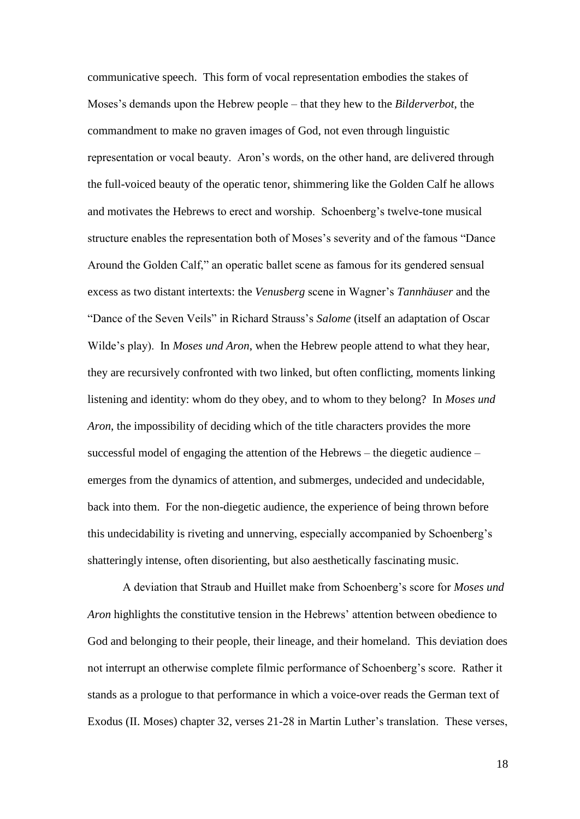communicative speech. This form of vocal representation embodies the stakes of Moses's demands upon the Hebrew people – that they hew to the *Bilderverbot*, the commandment to make no graven images of God, not even through linguistic representation or vocal beauty. Aron's words, on the other hand, are delivered through the full-voiced beauty of the operatic tenor, shimmering like the Golden Calf he allows and motivates the Hebrews to erect and worship. Schoenberg's twelve-tone musical structure enables the representation both of Moses's severity and of the famous "Dance Around the Golden Calf," an operatic ballet scene as famous for its gendered sensual excess as two distant intertexts: the *Venusberg* scene in Wagner's *Tannhäuser* and the "Dance of the Seven Veils" in Richard Strauss's *Salome* (itself an adaptation of Oscar Wilde's play). In *Moses und Aron*, when the Hebrew people attend to what they hear, they are recursively confronted with two linked, but often conflicting, moments linking listening and identity: whom do they obey, and to whom to they belong? In *Moses und Aron*, the impossibility of deciding which of the title characters provides the more successful model of engaging the attention of the Hebrews – the diegetic audience – emerges from the dynamics of attention, and submerges, undecided and undecidable, back into them. For the non-diegetic audience, the experience of being thrown before this undecidability is riveting and unnerving, especially accompanied by Schoenberg's shatteringly intense, often disorienting, but also aesthetically fascinating music.

A deviation that Straub and Huillet make from Schoenberg's score for *Moses und Aron* highlights the constitutive tension in the Hebrews' attention between obedience to God and belonging to their people, their lineage, and their homeland. This deviation does not interrupt an otherwise complete filmic performance of Schoenberg's score. Rather it stands as a prologue to that performance in which a voice-over reads the German text of Exodus (II. Moses) chapter 32, verses 21-28 in Martin Luther's translation. These verses,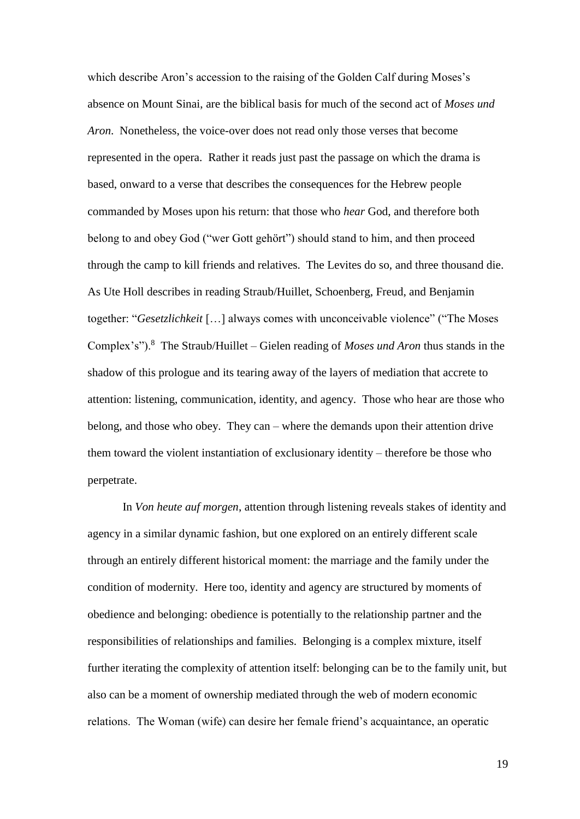which describe Aron's accession to the raising of the Golden Calf during Moses's absence on Mount Sinai, are the biblical basis for much of the second act of *Moses und Aron*. Nonetheless, the voice-over does not read only those verses that become represented in the opera. Rather it reads just past the passage on which the drama is based, onward to a verse that describes the consequences for the Hebrew people commanded by Moses upon his return: that those who *hear* God, and therefore both belong to and obey God ("wer Gott gehört") should stand to him, and then proceed through the camp to kill friends and relatives. The Levites do so, and three thousand die. As Ute Holl describes in reading Straub/Huillet, Schoenberg, Freud, and Benjamin together: "*Gesetzlichkeit* […] always comes with unconceivable violence" ("The Moses Complex's").<sup>8</sup> The Straub/Huillet – Gielen reading of *Moses und Aron* thus stands in the shadow of this prologue and its tearing away of the layers of mediation that accrete to attention: listening, communication, identity, and agency. Those who hear are those who belong, and those who obey. They can – where the demands upon their attention drive them toward the violent instantiation of exclusionary identity – therefore be those who perpetrate.

In *Von heute auf morgen*, attention through listening reveals stakes of identity and agency in a similar dynamic fashion, but one explored on an entirely different scale through an entirely different historical moment: the marriage and the family under the condition of modernity. Here too, identity and agency are structured by moments of obedience and belonging: obedience is potentially to the relationship partner and the responsibilities of relationships and families. Belonging is a complex mixture, itself further iterating the complexity of attention itself: belonging can be to the family unit, but also can be a moment of ownership mediated through the web of modern economic relations. The Woman (wife) can desire her female friend's acquaintance, an operatic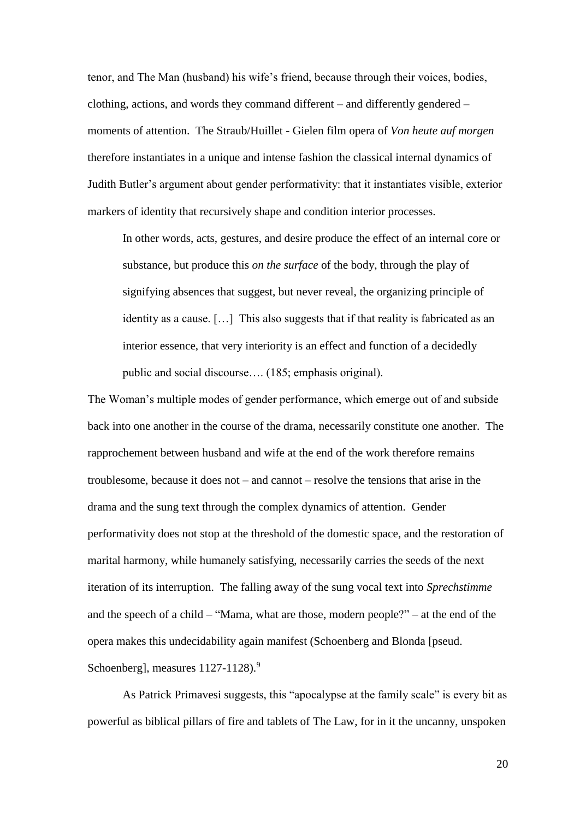tenor, and The Man (husband) his wife's friend, because through their voices, bodies, clothing, actions, and words they command different – and differently gendered – moments of attention. The Straub/Huillet - Gielen film opera of *Von heute auf morgen* therefore instantiates in a unique and intense fashion the classical internal dynamics of Judith Butler's argument about gender performativity: that it instantiates visible, exterior markers of identity that recursively shape and condition interior processes.

In other words, acts, gestures, and desire produce the effect of an internal core or substance, but produce this *on the surface* of the body, through the play of signifying absences that suggest, but never reveal, the organizing principle of identity as a cause. […] This also suggests that if that reality is fabricated as an interior essence, that very interiority is an effect and function of a decidedly public and social discourse…. (185; emphasis original).

The Woman's multiple modes of gender performance, which emerge out of and subside back into one another in the course of the drama, necessarily constitute one another. The rapprochement between husband and wife at the end of the work therefore remains troublesome, because it does not – and cannot – resolve the tensions that arise in the drama and the sung text through the complex dynamics of attention. Gender performativity does not stop at the threshold of the domestic space, and the restoration of marital harmony, while humanely satisfying, necessarily carries the seeds of the next iteration of its interruption. The falling away of the sung vocal text into *Sprechstimme* and the speech of a child – "Mama, what are those, modern people?" – at the end of the opera makes this undecidability again manifest (Schoenberg and Blonda [pseud. Schoenberg], measures  $1127-1128$ ).<sup>9</sup>

As Patrick Primavesi suggests, this "apocalypse at the family scale" is every bit as powerful as biblical pillars of fire and tablets of The Law, for in it the uncanny, unspoken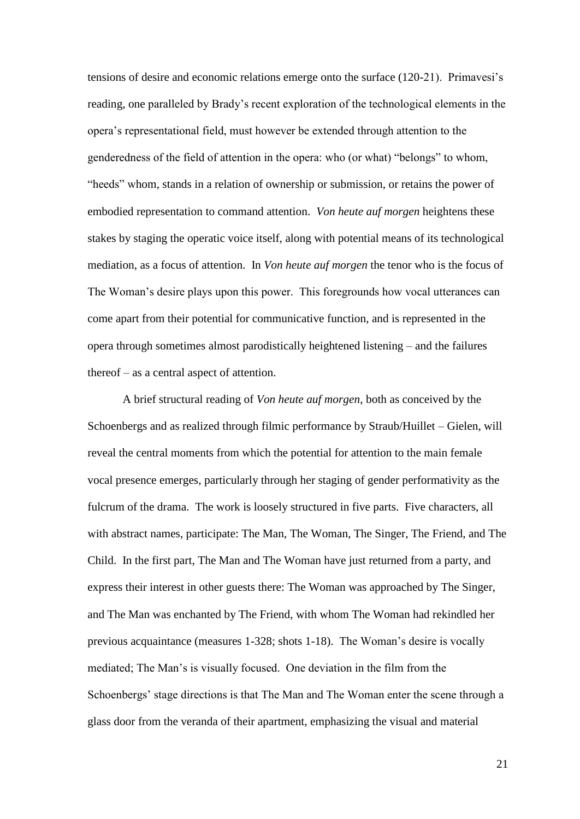tensions of desire and economic relations emerge onto the surface (120-21). Primavesi's reading, one paralleled by Brady's recent exploration of the technological elements in the opera's representational field, must however be extended through attention to the genderedness of the field of attention in the opera: who (or what) "belongs" to whom, "heeds" whom, stands in a relation of ownership or submission, or retains the power of embodied representation to command attention. *Von heute auf morgen* heightens these stakes by staging the operatic voice itself, along with potential means of its technological mediation, as a focus of attention. In *Von heute auf morgen* the tenor who is the focus of The Woman's desire plays upon this power. This foregrounds how vocal utterances can come apart from their potential for communicative function, and is represented in the opera through sometimes almost parodistically heightened listening – and the failures thereof – as a central aspect of attention.

A brief structural reading of *Von heute auf morgen*, both as conceived by the Schoenbergs and as realized through filmic performance by Straub/Huillet – Gielen, will reveal the central moments from which the potential for attention to the main female vocal presence emerges, particularly through her staging of gender performativity as the fulcrum of the drama. The work is loosely structured in five parts. Five characters, all with abstract names, participate: The Man, The Woman, The Singer, The Friend, and The Child. In the first part, The Man and The Woman have just returned from a party, and express their interest in other guests there: The Woman was approached by The Singer, and The Man was enchanted by The Friend, with whom The Woman had rekindled her previous acquaintance (measures 1-328; shots 1-18). The Woman's desire is vocally mediated; The Man's is visually focused. One deviation in the film from the Schoenbergs' stage directions is that The Man and The Woman enter the scene through a glass door from the veranda of their apartment, emphasizing the visual and material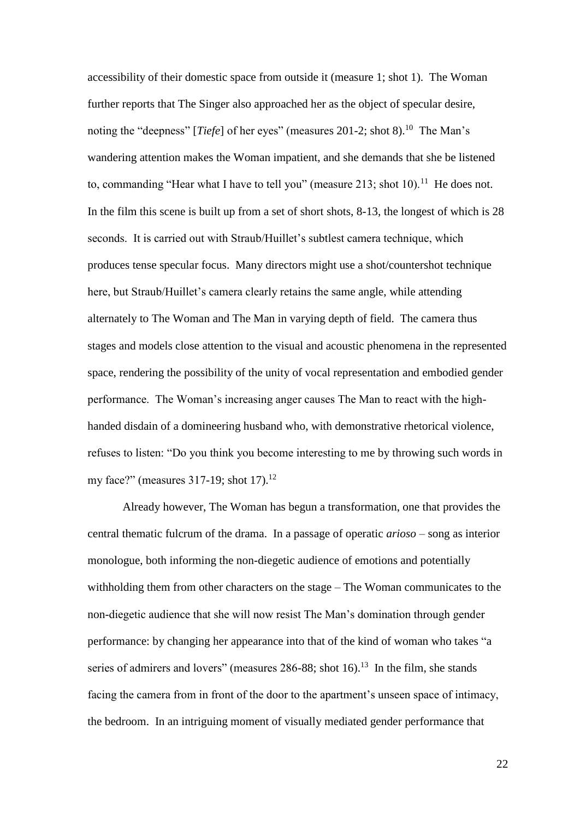accessibility of their domestic space from outside it (measure 1; shot 1). The Woman further reports that The Singer also approached her as the object of specular desire, noting the "deepness" [*Tiefe*] of her eyes" (measures 201-2; shot 8).<sup>10</sup> The Man's wandering attention makes the Woman impatient, and she demands that she be listened to, commanding "Hear what I have to tell you" (measure  $213$ ; shot  $10$ ).<sup>11</sup> He does not. In the film this scene is built up from a set of short shots, 8-13, the longest of which is 28 seconds. It is carried out with Straub/Huillet's subtlest camera technique, which produces tense specular focus. Many directors might use a shot/countershot technique here, but Straub/Huillet's camera clearly retains the same angle, while attending alternately to The Woman and The Man in varying depth of field. The camera thus stages and models close attention to the visual and acoustic phenomena in the represented space, rendering the possibility of the unity of vocal representation and embodied gender performance. The Woman's increasing anger causes The Man to react with the highhanded disdain of a domineering husband who, with demonstrative rhetorical violence, refuses to listen: "Do you think you become interesting to me by throwing such words in my face?" (measures  $317-19$ ; shot  $17$ ).<sup>12</sup>

Already however, The Woman has begun a transformation, one that provides the central thematic fulcrum of the drama. In a passage of operatic *arioso* – song as interior monologue, both informing the non-diegetic audience of emotions and potentially withholding them from other characters on the stage – The Woman communicates to the non-diegetic audience that she will now resist The Man's domination through gender performance: by changing her appearance into that of the kind of woman who takes "a series of admirers and lovers" (measures  $286-88$ ; shot 16).<sup>13</sup> In the film, she stands facing the camera from in front of the door to the apartment's unseen space of intimacy, the bedroom. In an intriguing moment of visually mediated gender performance that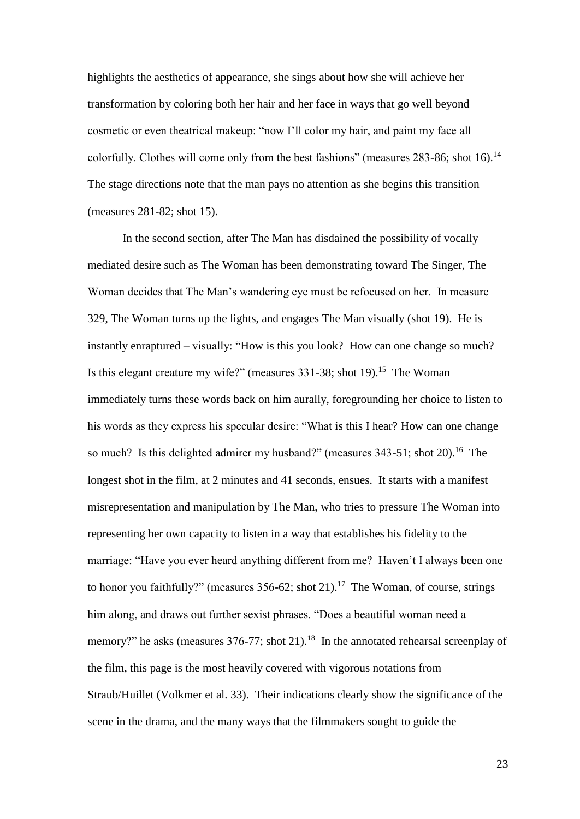highlights the aesthetics of appearance, she sings about how she will achieve her transformation by coloring both her hair and her face in ways that go well beyond cosmetic or even theatrical makeup: "now I'll color my hair, and paint my face all colorfully. Clothes will come only from the best fashions" (measures  $283-86$ ; shot  $16$ ).<sup>14</sup> The stage directions note that the man pays no attention as she begins this transition (measures 281-82; shot 15).

In the second section, after The Man has disdained the possibility of vocally mediated desire such as The Woman has been demonstrating toward The Singer, The Woman decides that The Man's wandering eye must be refocused on her. In measure 329, The Woman turns up the lights, and engages The Man visually (shot 19). He is instantly enraptured – visually: "How is this you look? How can one change so much? Is this elegant creature my wife?" (measures  $331-38$ ; shot  $19$ ).<sup>15</sup> The Woman immediately turns these words back on him aurally, foregrounding her choice to listen to his words as they express his specular desire: "What is this I hear? How can one change so much? Is this delighted admirer my husband?" (measures  $343-51$ ; shot  $20$ ).<sup>16</sup> The longest shot in the film, at 2 minutes and 41 seconds, ensues. It starts with a manifest misrepresentation and manipulation by The Man, who tries to pressure The Woman into representing her own capacity to listen in a way that establishes his fidelity to the marriage: "Have you ever heard anything different from me? Haven't I always been one to honor you faithfully?" (measures  $356-62$ ; shot  $21$ ).<sup>17</sup> The Woman, of course, strings him along, and draws out further sexist phrases. "Does a beautiful woman need a memory?" he asks (measures  $376-77$ ; shot  $21$ ).<sup>18</sup> In the annotated rehearsal screenplay of the film, this page is the most heavily covered with vigorous notations from Straub/Huillet (Volkmer et al. 33). Their indications clearly show the significance of the scene in the drama, and the many ways that the filmmakers sought to guide the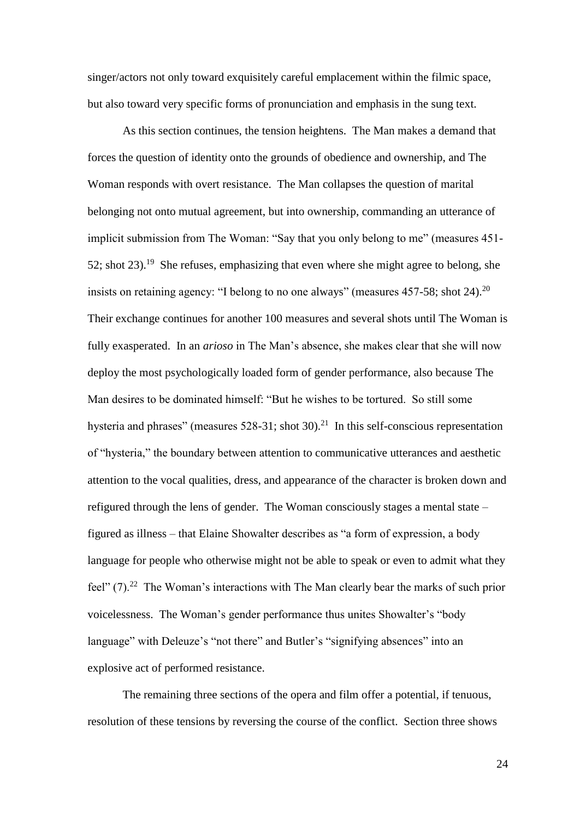singer/actors not only toward exquisitely careful emplacement within the filmic space, but also toward very specific forms of pronunciation and emphasis in the sung text.

As this section continues, the tension heightens. The Man makes a demand that forces the question of identity onto the grounds of obedience and ownership, and The Woman responds with overt resistance. The Man collapses the question of marital belonging not onto mutual agreement, but into ownership, commanding an utterance of implicit submission from The Woman: "Say that you only belong to me" (measures 451- 52; shot  $23$ ).<sup>19</sup> She refuses, emphasizing that even where she might agree to belong, she insists on retaining agency: "I belong to no one always" (measures  $457-58$ ; shot  $24$ ).<sup>20</sup> Their exchange continues for another 100 measures and several shots until The Woman is fully exasperated. In an *arioso* in The Man's absence, she makes clear that she will now deploy the most psychologically loaded form of gender performance, also because The Man desires to be dominated himself: "But he wishes to be tortured. So still some hysteria and phrases" (measures  $528-31$ ; shot  $30$ ).<sup>21</sup> In this self-conscious representation of "hysteria," the boundary between attention to communicative utterances and aesthetic attention to the vocal qualities, dress, and appearance of the character is broken down and refigured through the lens of gender. The Woman consciously stages a mental state – figured as illness – that Elaine Showalter describes as "a form of expression, a body language for people who otherwise might not be able to speak or even to admit what they feel"  $(7)$ .<sup>22</sup> The Woman's interactions with The Man clearly bear the marks of such prior voicelessness. The Woman's gender performance thus unites Showalter's "body language" with Deleuze's "not there" and Butler's "signifying absences" into an explosive act of performed resistance.

The remaining three sections of the opera and film offer a potential, if tenuous, resolution of these tensions by reversing the course of the conflict. Section three shows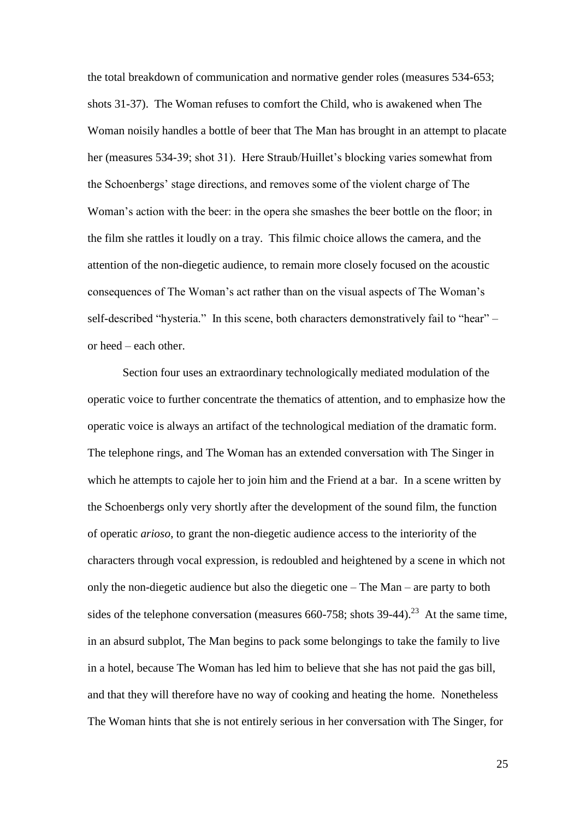the total breakdown of communication and normative gender roles (measures 534-653; shots 31-37). The Woman refuses to comfort the Child, who is awakened when The Woman noisily handles a bottle of beer that The Man has brought in an attempt to placate her (measures 534-39; shot 31). Here Straub/Huillet's blocking varies somewhat from the Schoenbergs' stage directions, and removes some of the violent charge of The Woman's action with the beer: in the opera she smashes the beer bottle on the floor; in the film she rattles it loudly on a tray. This filmic choice allows the camera, and the attention of the non-diegetic audience, to remain more closely focused on the acoustic consequences of The Woman's act rather than on the visual aspects of The Woman's self-described "hysteria." In this scene, both characters demonstratively fail to "hear" – or heed – each other.

Section four uses an extraordinary technologically mediated modulation of the operatic voice to further concentrate the thematics of attention, and to emphasize how the operatic voice is always an artifact of the technological mediation of the dramatic form. The telephone rings, and The Woman has an extended conversation with The Singer in which he attempts to cajole her to join him and the Friend at a bar. In a scene written by the Schoenbergs only very shortly after the development of the sound film, the function of operatic *arioso*, to grant the non-diegetic audience access to the interiority of the characters through vocal expression, is redoubled and heightened by a scene in which not only the non-diegetic audience but also the diegetic one – The Man – are party to both sides of the telephone conversation (measures  $660-758$ ; shots  $39-44$ ).<sup>23</sup> At the same time, in an absurd subplot, The Man begins to pack some belongings to take the family to live in a hotel, because The Woman has led him to believe that she has not paid the gas bill, and that they will therefore have no way of cooking and heating the home. Nonetheless The Woman hints that she is not entirely serious in her conversation with The Singer, for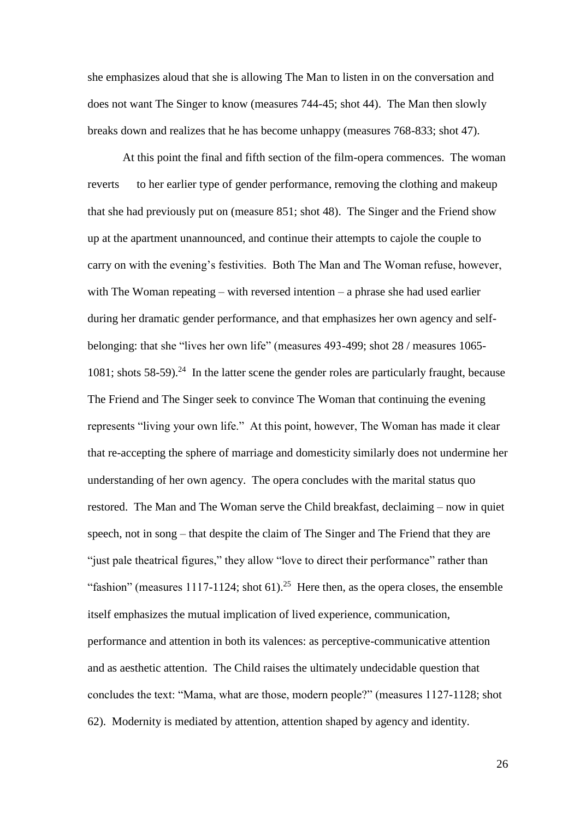she emphasizes aloud that she is allowing The Man to listen in on the conversation and does not want The Singer to know (measures 744-45; shot 44). The Man then slowly breaks down and realizes that he has become unhappy (measures 768-833; shot 47).

At this point the final and fifth section of the film-opera commences. The woman reverts to her earlier type of gender performance, removing the clothing and makeup that she had previously put on (measure 851; shot 48). The Singer and the Friend show up at the apartment unannounced, and continue their attempts to cajole the couple to carry on with the evening's festivities. Both The Man and The Woman refuse, however, with The Woman repeating – with reversed intention – a phrase she had used earlier during her dramatic gender performance, and that emphasizes her own agency and selfbelonging: that she "lives her own life" (measures 493-499; shot 28 / measures 1065- 1081; shots 58-59).<sup>24</sup> In the latter scene the gender roles are particularly fraught, because The Friend and The Singer seek to convince The Woman that continuing the evening represents "living your own life." At this point, however, The Woman has made it clear that re-accepting the sphere of marriage and domesticity similarly does not undermine her understanding of her own agency. The opera concludes with the marital status quo restored. The Man and The Woman serve the Child breakfast, declaiming – now in quiet speech, not in song – that despite the claim of The Singer and The Friend that they are "just pale theatrical figures," they allow "love to direct their performance" rather than "fashion" (measures 1117-1124; shot 61).<sup>25</sup> Here then, as the opera closes, the ensemble itself emphasizes the mutual implication of lived experience, communication, performance and attention in both its valences: as perceptive-communicative attention and as aesthetic attention. The Child raises the ultimately undecidable question that concludes the text: "Mama, what are those, modern people?" (measures 1127-1128; shot 62). Modernity is mediated by attention, attention shaped by agency and identity.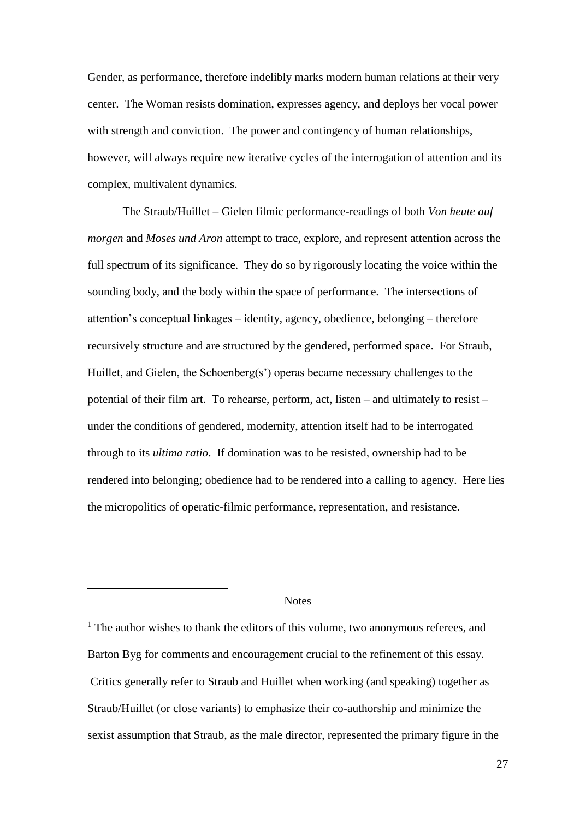Gender, as performance, therefore indelibly marks modern human relations at their very center. The Woman resists domination, expresses agency, and deploys her vocal power with strength and conviction. The power and contingency of human relationships, however, will always require new iterative cycles of the interrogation of attention and its complex, multivalent dynamics.

The Straub/Huillet – Gielen filmic performance-readings of both *Von heute auf morgen* and *Moses und Aron* attempt to trace, explore, and represent attention across the full spectrum of its significance. They do so by rigorously locating the voice within the sounding body, and the body within the space of performance. The intersections of attention's conceptual linkages – identity, agency, obedience, belonging – therefore recursively structure and are structured by the gendered, performed space. For Straub, Huillet, and Gielen, the Schoenberg(s') operas became necessary challenges to the potential of their film art. To rehearse, perform, act, listen – and ultimately to resist – under the conditions of gendered, modernity, attention itself had to be interrogated through to its *ultima ratio*. If domination was to be resisted, ownership had to be rendered into belonging; obedience had to be rendered into a calling to agency. Here lies the micropolitics of operatic-filmic performance, representation, and resistance.

### **Notes**

<u>.</u>

<sup>1</sup> The author wishes to thank the editors of this volume, two anonymous referees, and Barton Byg for comments and encouragement crucial to the refinement of this essay. Critics generally refer to Straub and Huillet when working (and speaking) together as Straub/Huillet (or close variants) to emphasize their co-authorship and minimize the sexist assumption that Straub, as the male director, represented the primary figure in the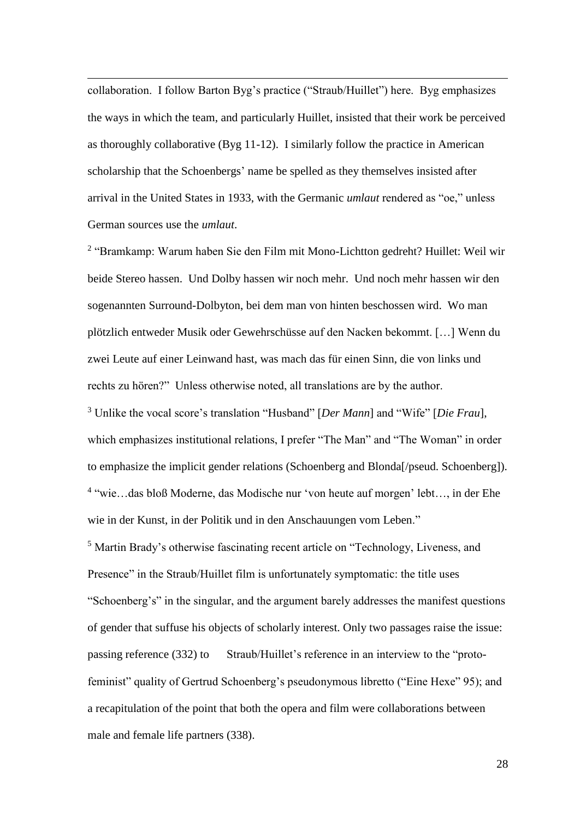collaboration. I follow Barton Byg's practice ("Straub/Huillet") here. Byg emphasizes the ways in which the team, and particularly Huillet, insisted that their work be perceived as thoroughly collaborative (Byg 11-12). I similarly follow the practice in American scholarship that the Schoenbergs' name be spelled as they themselves insisted after arrival in the United States in 1933, with the Germanic *umlaut* rendered as "oe," unless German sources use the *umlaut*.

<u>.</u>

<sup>2</sup> "Bramkamp: Warum haben Sie den Film mit Mono-Lichtton gedreht? Huillet: Weil wir beide Stereo hassen. Und Dolby hassen wir noch mehr. Und noch mehr hassen wir den sogenannten Surround-Dolbyton, bei dem man von hinten beschossen wird. Wo man plötzlich entweder Musik oder Gewehrschüsse auf den Nacken bekommt. […] Wenn du zwei Leute auf einer Leinwand hast, was mach das für einen Sinn, die von links und rechts zu hören?" Unless otherwise noted, all translations are by the author. <sup>3</sup> Unlike the vocal score's translation "Husband" [*Der Mann*] and "Wife" [*Die Frau*], which emphasizes institutional relations, I prefer "The Man" and "The Woman" in order to emphasize the implicit gender relations (Schoenberg and Blonda[/pseud. Schoenberg]). 4 "wie…das bloß Moderne, das Modische nur 'von heute auf morgen' lebt…, in der Ehe wie in der Kunst, in der Politik und in den Anschauungen vom Leben." <sup>5</sup> Martin Brady's otherwise fascinating recent article on "Technology, Liveness, and Presence" in the Straub/Huillet film is unfortunately symptomatic: the title uses "Schoenberg's" in the singular, and the argument barely addresses the manifest questions of gender that suffuse his objects of scholarly interest. Only two passages raise the issue: passing reference (332) to Straub/Huillet's reference in an interview to the "protofeminist" quality of Gertrud Schoenberg's pseudonymous libretto ("Eine Hexe" 95); and a recapitulation of the point that both the opera and film were collaborations between male and female life partners (338).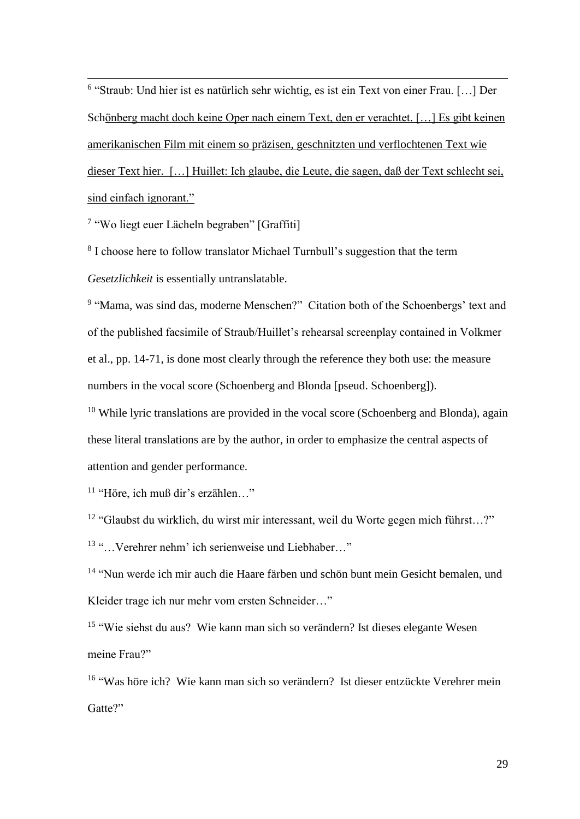<u>.</u> 6 "Straub: Und hier ist es natürlich sehr wichtig, es ist ein Text von einer Frau. […] Der Schönberg macht doch keine Oper nach einem Text, den er verachtet. […] Es gibt keinen amerikanischen Film mit einem so präzisen, geschnitzten und verflochtenen Text wie dieser Text hier. […] Huillet: Ich glaube, die Leute, die sagen, daß der Text schlecht sei, sind einfach ignorant."

<sup>7</sup> "Wo liegt euer Lächeln begraben" [Graffiti]

<sup>8</sup> I choose here to follow translator Michael Turnbull's suggestion that the term *Gesetzlichkeit* is essentially untranslatable.

<sup>9</sup> "Mama, was sind das, moderne Menschen?" Citation both of the Schoenbergs' text and of the published facsimile of Straub/Huillet's rehearsal screenplay contained in Volkmer et al., pp. 14-71, is done most clearly through the reference they both use: the measure numbers in the vocal score (Schoenberg and Blonda [pseud. Schoenberg]).

 $10$  While lyric translations are provided in the vocal score (Schoenberg and Blonda), again these literal translations are by the author, in order to emphasize the central aspects of attention and gender performance.

<sup>11</sup> "Höre, ich muß dir's erzählen…"

<sup>12</sup> "Glaubst du wirklich, du wirst mir interessant, weil du Worte gegen mich führst…?"

<sup>13</sup> "…Verehrer nehm' ich serienweise und Liebhaber…"

<sup>14</sup> "Nun werde ich mir auch die Haare färben und schön bunt mein Gesicht bemalen, und Kleider trage ich nur mehr vom ersten Schneider…"

<sup>15</sup> "Wie siehst du aus? Wie kann man sich so verändern? Ist dieses elegante Wesen meine Frau?"

<sup>16</sup> "Was höre ich? Wie kann man sich so verändern? Ist dieser entzückte Verehrer mein Gatte?"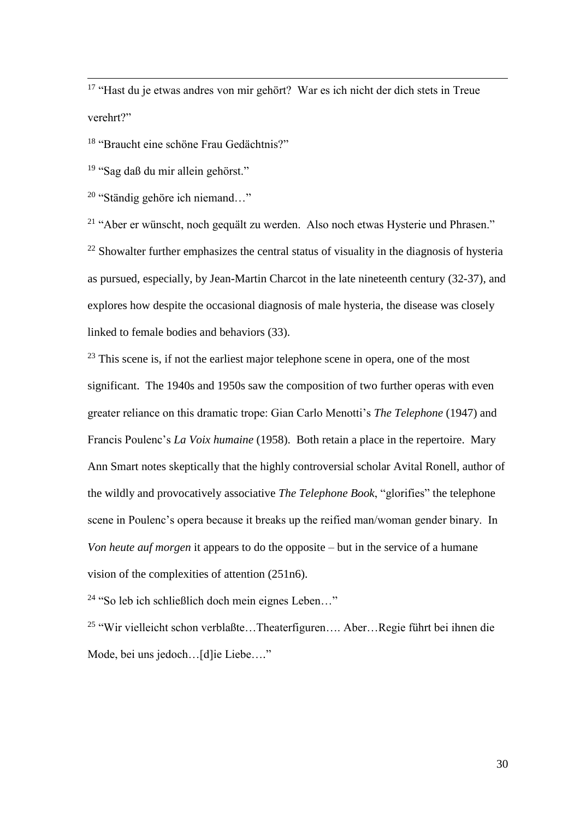<sup>17</sup> "Hast du je etwas andres von mir gehört? War es ich nicht der dich stets in Treue verehrt?"

<sup>18</sup> "Braucht eine schöne Frau Gedächtnis?"

<sup>19</sup> "Sag daß du mir allein gehörst."

<u>.</u>

<sup>20</sup> "Ständig gehöre ich niemand…"

<sup>21</sup> "Aber er wünscht, noch gequält zu werden. Also noch etwas Hysterie und Phrasen."  $22$  Showalter further emphasizes the central status of visuality in the diagnosis of hysteria as pursued, especially, by Jean-Martin Charcot in the late nineteenth century (32-37), and explores how despite the occasional diagnosis of male hysteria, the disease was closely linked to female bodies and behaviors (33).

 $23$  This scene is, if not the earliest major telephone scene in opera, one of the most significant. The 1940s and 1950s saw the composition of two further operas with even greater reliance on this dramatic trope: Gian Carlo Menotti's *The Telephone* (1947) and Francis Poulenc's *La Voix humaine* (1958). Both retain a place in the repertoire. Mary Ann Smart notes skeptically that the highly controversial scholar Avital Ronell, author of the wildly and provocatively associative *The Telephone Book*, "glorifies" the telephone scene in Poulenc's opera because it breaks up the reified man/woman gender binary. In *Von heute auf morgen* it appears to do the opposite – but in the service of a humane vision of the complexities of attention (251n6).

 $24$  "So leb ich schließlich doch mein eignes Leben..."

<sup>25</sup> "Wir vielleicht schon verblaßte…Theaterfiguren…. Aber…Regie führt bei ihnen die Mode, bei uns jedoch…[d]ie Liebe…."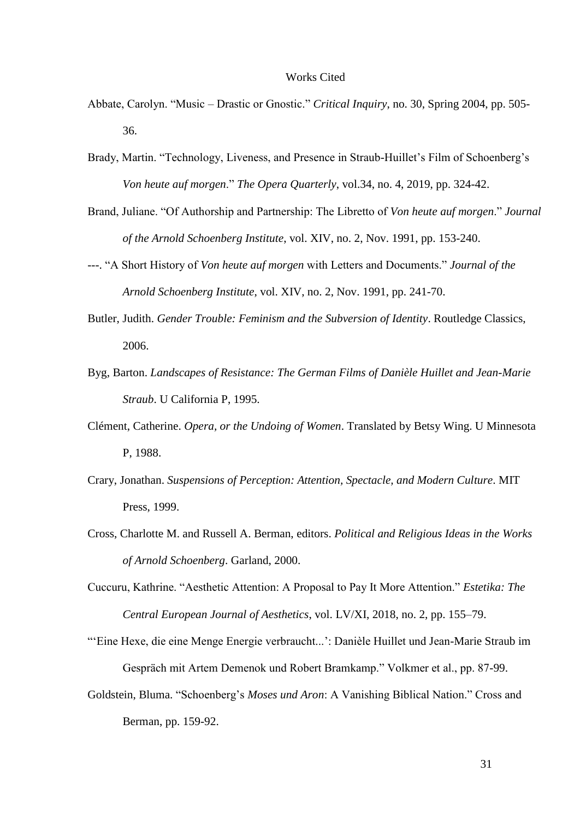#### Works Cited

- Abbate, Carolyn. "Music Drastic or Gnostic." *Critical Inquiry*, no. 30, Spring 2004, pp. 505- 36.
- Brady, Martin. "Technology, Liveness, and Presence in Straub-Huillet's Film of Schoenberg's *Von heute auf morgen*." *The Opera Quarterly*, vol.34, no. 4, 2019, pp. 324-42.
- Brand, Juliane. "Of Authorship and Partnership: The Libretto of *Von heute auf morgen*." *Journal of the Arnold Schoenberg Institute*, vol. XIV, no. 2, Nov. 1991, pp. 153-240.
- ---. "A Short History of *Von heute auf morgen* with Letters and Documents." *Journal of the Arnold Schoenberg Institute*, vol. XIV, no. 2, Nov. 1991, pp. 241-70.
- Butler, Judith. *Gender Trouble: Feminism and the Subversion of Identity*. Routledge Classics, 2006.
- Byg, Barton. *Landscapes of Resistance: The German Films of Danièle Huillet and Jean-Marie Straub*. U California P, 1995.
- Clément, Catherine. *Opera, or the Undoing of Women*. Translated by Betsy Wing. U Minnesota P, 1988.
- Crary, Jonathan. *Suspensions of Perception: Attention, Spectacle, and Modern Culture*. MIT Press, 1999.
- Cross, Charlotte M. and Russell A. Berman, editors. *Political and Religious Ideas in the Works of Arnold Schoenberg*. Garland, 2000.
- Cuccuru, Kathrine. "Aesthetic Attention: A Proposal to Pay It More Attention." *Estetika: The Central European Journal of Aesthetics*, vol. LV/XI, 2018, no. 2, pp. 155–79.
- "'Eine Hexe, die eine Menge Energie verbraucht...': Danièle Huillet und Jean-Marie Straub im Gespräch mit Artem Demenok und Robert Bramkamp." Volkmer et al., pp. 87-99.
- Goldstein, Bluma. "Schoenberg's *Moses und Aron*: A Vanishing Biblical Nation." Cross and Berman, pp. 159-92.